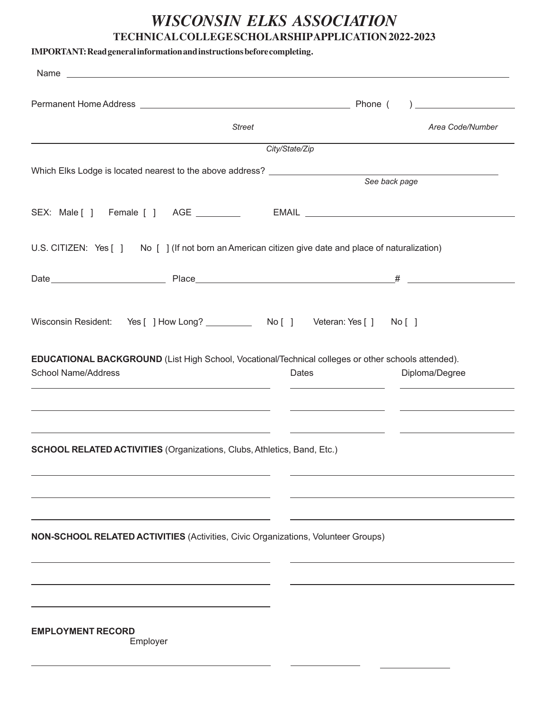# *WISCONSIN ELKS ASSOCIATION* **TECHNICALCOLLEGESCHOLARSHIPAPPLICATION2022-2023**

| <b>Street</b>                                                                                                                                                                                                                   | Area Code/Number |
|---------------------------------------------------------------------------------------------------------------------------------------------------------------------------------------------------------------------------------|------------------|
| City/State/Zip                                                                                                                                                                                                                  |                  |
|                                                                                                                                                                                                                                 | See back page    |
| SEX: Male [ ] Female [ ] AGE __________ EMAIL __________________________________                                                                                                                                                |                  |
| U.S. CITIZEN: Yes [ ] No [ ] (If not born an American citizen give date and place of naturalization)                                                                                                                            |                  |
|                                                                                                                                                                                                                                 |                  |
| Wisconsin Resident: Yes [ ] How Long? ____________ No [ ] Veteran: Yes [ ] No [ ]<br>EDUCATIONAL BACKGROUND (List High School, Vocational/Technical colleges or other schools attended).<br><b>School Name/Address</b><br>Dates | Diploma/Degree   |
| SCHOOL RELATED ACTIVITIES (Organizations, Clubs, Athletics, Band, Etc.)                                                                                                                                                         |                  |
| NON-SCHOOL RELATED ACTIVITIES (Activities, Civic Organizations, Volunteer Groups)                                                                                                                                               |                  |
| <b>EMPLOYMENT RECORD</b><br>Employer                                                                                                                                                                                            |                  |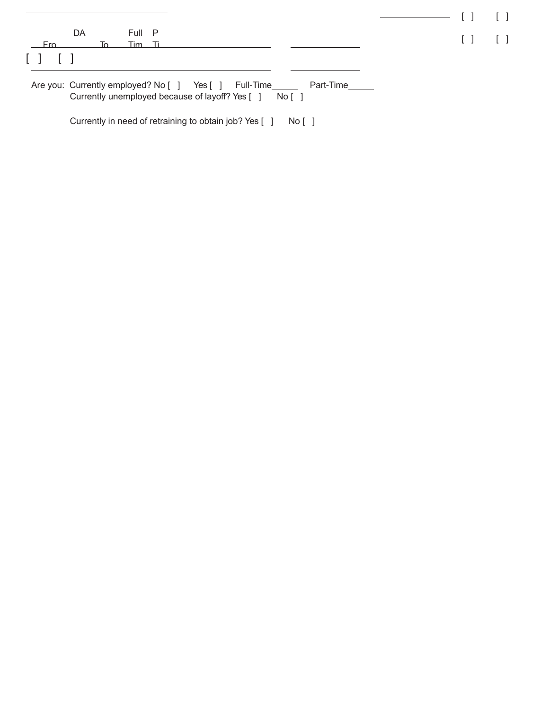|                                                |    |        |  | Are you: Currently employed? No [ ] Yes [ ] Full-Time______ Part-Time_____<br>Currently unemployed because of layoff? Yes [ ] No [ ] |  |  |  |                                                                                                                                                                                                                                                                                                                                                                                                                                                                                                                                                                                                                                                        |  |
|------------------------------------------------|----|--------|--|--------------------------------------------------------------------------------------------------------------------------------------|--|--|--|--------------------------------------------------------------------------------------------------------------------------------------------------------------------------------------------------------------------------------------------------------------------------------------------------------------------------------------------------------------------------------------------------------------------------------------------------------------------------------------------------------------------------------------------------------------------------------------------------------------------------------------------------------|--|
| — Fro<br>$\begin{bmatrix} 1 & 1 \end{bmatrix}$ |    | Tim Ti |  |                                                                                                                                      |  |  |  |                                                                                                                                                                                                                                                                                                                                                                                                                                                                                                                                                                                                                                                        |  |
|                                                | DA | Full P |  |                                                                                                                                      |  |  |  | $\begin{tabular}{c} \quad \quad \quad & \quad \quad \quad & \quad \quad \quad \\ \begin{tabular}{c} \quad \quad & \quad \quad \\ \quad \quad & \quad \quad \\ \quad \quad & \quad \quad \\ \quad \quad & \quad \quad \\ \quad \quad & \quad \quad \\ \quad \quad & \quad \quad \\ \quad \quad & \quad \quad \\ \quad \quad & \quad \quad \\ \quad \quad & \quad \quad \\ \quad \quad & \quad \quad \\ \quad \quad & \quad \quad \\ \quad \quad & \quad \quad \\ \quad \quad & \quad \quad \\ \quad \quad & \quad \quad \\ \quad \quad & \quad \quad \\ \quad \quad & \quad \quad \\ \quad \quad & \quad \quad \\ \quad \quad & \quad \quad \\ \quad \$ |  |
|                                                |    |        |  |                                                                                                                                      |  |  |  |                                                                                                                                                                                                                                                                                                                                                                                                                                                                                                                                                                                                                                                        |  |

Currently in need of retraining to obtain job? Yes [ ] No [ ]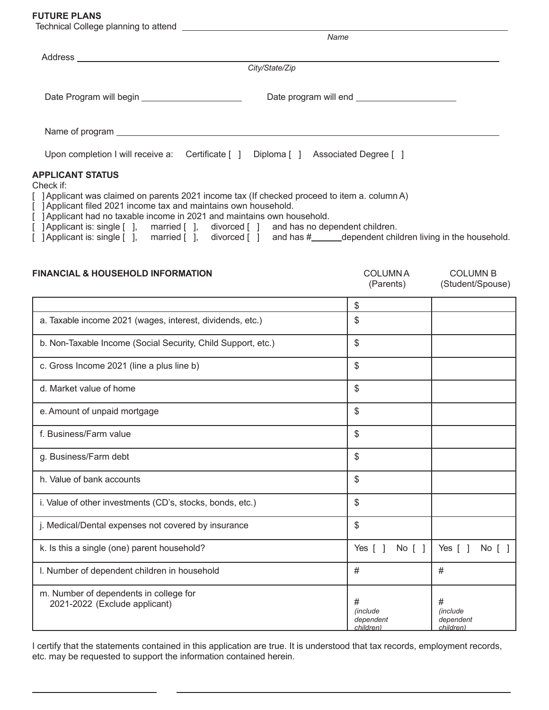### **FUTURE PLANS**

|                                                                          | Name                                                                                                                                                                                                        |
|--------------------------------------------------------------------------|-------------------------------------------------------------------------------------------------------------------------------------------------------------------------------------------------------------|
|                                                                          |                                                                                                                                                                                                             |
|                                                                          | City/State/Zip                                                                                                                                                                                              |
| Date Program will begin ________________________                         |                                                                                                                                                                                                             |
|                                                                          | Name of program entertainment of program                                                                                                                                                                    |
|                                                                          | Upon completion I will receive a: Certificate [ ] Diploma [ ] Associated Degree [ ]                                                                                                                         |
| APPLICANT STATUS<br>Check if:                                            |                                                                                                                                                                                                             |
| [ ] Applicant filed 2021 income tax and maintains own household.         | [ ] Applicant was claimed on parents 2021 income tax (If checked proceed to item a. column A)                                                                                                               |
| [ ] Applicant had no taxable income in 2021 and maintains own household. |                                                                                                                                                                                                             |
|                                                                          | [ ] Applicant is: single [ ], married [ ], divorced [ ] and has no dependent children.<br>[ ] Applicant is: single [ ], married [ ], divorced [ ] and has #_____dependent children living in the household. |

| <b>FINANCIAL &amp; HOUSEHOLD INFORMATION</b>                            | <b>COLUMNA</b><br>(Parents)        | <b>COLUMN B</b><br>(Student/Spouse) |
|-------------------------------------------------------------------------|------------------------------------|-------------------------------------|
|                                                                         | \$                                 |                                     |
| a. Taxable income 2021 (wages, interest, dividends, etc.)               | \$                                 |                                     |
| b. Non-Taxable Income (Social Security, Child Support, etc.)            | \$                                 |                                     |
| c. Gross Income 2021 (line a plus line b)                               | \$                                 |                                     |
| d. Market value of home                                                 | \$                                 |                                     |
| e. Amount of unpaid mortgage                                            | \$                                 |                                     |
| f. Business/Farm value                                                  | \$                                 |                                     |
| g. Business/Farm debt                                                   | \$                                 |                                     |
| h. Value of bank accounts                                               | \$                                 |                                     |
| i. Value of other investments (CD's, stocks, bonds, etc.)               | \$                                 |                                     |
| j. Medical/Dental expenses not covered by insurance                     | \$                                 |                                     |
| k. Is this a single (one) parent household?                             | Yes $\lceil \rceil$<br>No [ ]      | Yes $[ ]$<br>No [ ]                 |
| I. Number of dependent children in household                            | #                                  | #                                   |
| m. Number of dependents in college for<br>2021-2022 (Exclude applicant) | #<br><i>(include)</i><br>dependent | #<br><i>(include</i> )<br>dependent |

I certify that the statements contained in this application are true. It is understood that tax records, employment records, etc. may be requested to support the information contained herein.

*children)*

*children)*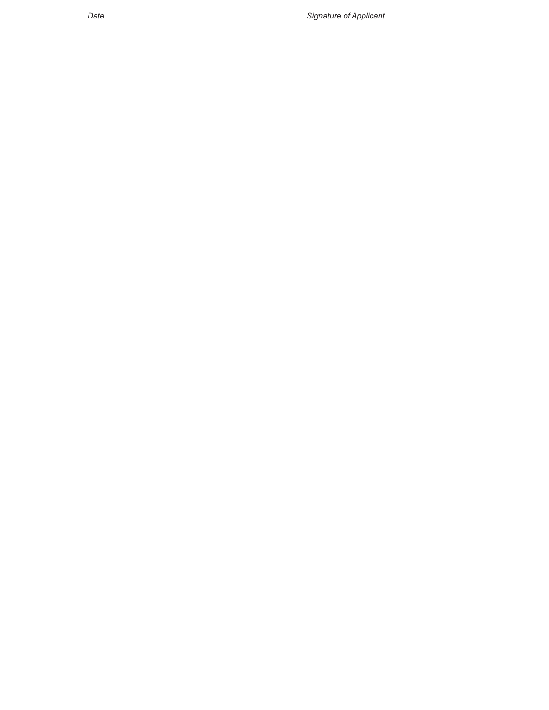*Date Signature of Applicant*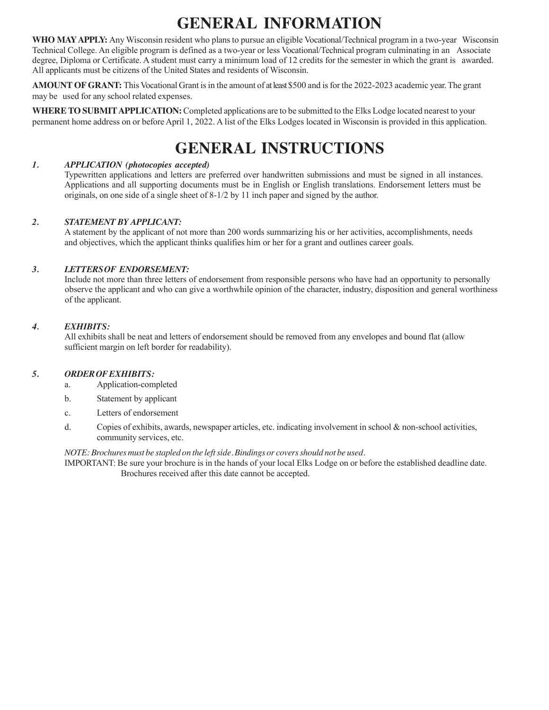# **GENERAL INFORMATION**

**WHO MAYAPPLY:** Any Wisconsin resident who plans to pursue an eligible Vocational/Technical program in a two-year Wisconsin Technical College. An eligible program is defined as a two-year or less Vocational/Technical program culminating in an Associate degree, Diploma or Certificate. A student must carry a minimum load of 12 credits for the semester in which the grant is awarded. All applicants must be citizens of the United States and residents of Wisconsin.

**AMOUNT OF GRANT:** This Vocational Grant is in the amount of at least \$500 and is for the 2022-2023 academic year. The grant may be used for any school related expenses.

**WHERE TO SUBMITAPPLICATION:**Completed applications are to be submitted to the Elks Lodge located nearest to your permanent home address on or before April 1, 2022. A list of the Elks Lodges located in Wisconsin is provided in this application.

# **GENERAL INSTRUCTIONS**

### *1. APPLICATION (photocopies accepted)*

Typewritten applications and letters are preferred over handwritten submissions and must be signed in all instances. Applications and all supporting documents must be in English or English translations. Endorsement letters must be originals, on one side of a single sheet of 8-1/2 by 11 inch paper and signed by the author.

## *2. STATEMENT BYAPPLICANT:*

A statement by the applicant of not more than 200 words summarizing his or her activities, accomplishments, needs and objectives, which the applicant thinks qualifies him or her for a grant and outlines career goals.

## *3. LETTERSOF ENDORSEMENT:*

Include not more than three letters of endorsement from responsible persons who have had an opportunity to personally observe the applicant and who can give a worthwhile opinion of the character, industry, disposition and general worthiness of the applicant.

## *4. EXHIBITS:*

All exhibits shall be neat and letters of endorsement should be removed from any envelopes and bound flat (allow sufficient margin on left border for readability).

#### *5. ORDEROFEXHIBITS:*

- a. Application-completed
- b. Statement by applicant
- c. Letters of endorsement
- d. Copies of exhibits, awards, newspaper articles, etc. indicating involvement in school & non-school activities, community services, etc.

#### *NOTE:Brochuresmust be stapled on the leftside. Bindings or coversshould not be used.*

IMPORTANT: Be sure your brochure is in the hands of your local Elks Lodge on or before the established deadline date. Brochures received after this date cannot be accepted.